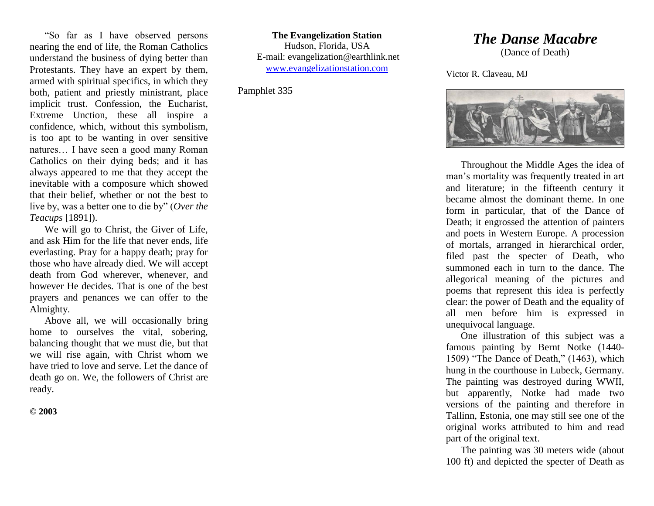"So far as I have observed persons nearing the end of life, the Roman Catholics understand the business of dying better than Protestants. They have an expert by them, armed with spiritual specifics, in which they both, patient and priestly ministrant, place implicit trust. Confession, the Eucharist, Extreme Unction, these all inspire a confidence, which, without this symbolism, is too apt to be wanting in over sensitive natures… I have seen a good many Roman Catholics on their dying beds; and it has always appeared to me that they accept the inevitable with a composure which showed that their belief, whether or not the best to live by, was a better one to die by" (*Over the Teacups* [1891]).

We will go to Christ, the Giver of Life, and ask Him for the life that never ends, life everlasting. Pray for a happy death; pray for those who have already died. We will accept death from God wherever, whenever, and however He decides. That is one of the best prayers and penances we can offer to the Almighty.

Above all, we will occasionally bring home to ourselves the vital, sobering, balancing thought that we must die, but that we will rise again, with Christ whom we have tried to love and serve. Let the dance of death go on. We, the followers of Christ are ready.

**© 2003**

**The Evangelization Station** Hudson, Florida, USA E-mail: evangelization@earthlink.net [www.evangelizationstation.com](http://www.pjpiisoe.org/)

Pamphlet 335

## *The Danse Macabre*

(Dance of Death)

Victor R. Claveau, MJ



Throughout the Middle Ages the idea of man's mortality was frequently treated in art and literature; in the fifteenth century it became almost the dominant theme. In one form in particular, that of the Dance of Death; it engrossed the attention of painters and poets in Western Europe. A procession of mortals, arranged in hierarchical order, filed past the specter of Death, who summoned each in turn to the dance. The allegorical meaning of the pictures and poems that represent this idea is perfectly clear: the power of Death and the equality of all men before him is expressed in unequivocal language.

One illustration of this subject was a famous painting by Bernt Notke (1440- 1509) "The Dance of Death," (1463), which hung in the courthouse in Lubeck, Germany. The painting was destroyed during WWII, but apparently, Notke had made two versions of the painting and therefore in Tallinn, Estonia, one may still see one of the original works attributed to him and read part of the original text.

The painting was 30 meters wide (about 100 ft) and depicted the specter of Death as